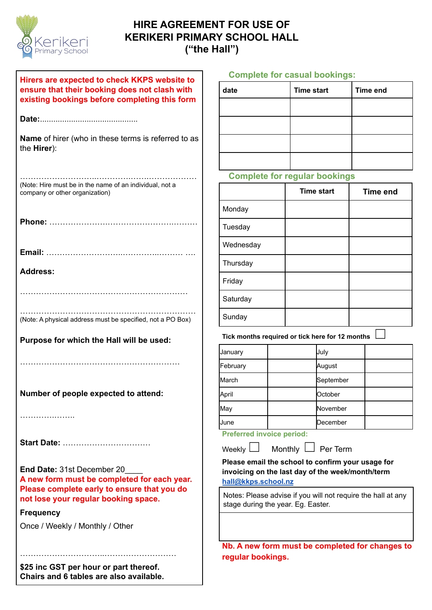

# **HIRE AGREEMENT FOR USE OF KERIKERI PRIMARY SCHOOL HALL ("the Hall")**

| Hirers are expected to check KKPS website to<br>ensure that their booking does not clash with<br>existing bookings before completing this form                   | C                                  |  |
|------------------------------------------------------------------------------------------------------------------------------------------------------------------|------------------------------------|--|
|                                                                                                                                                                  |                                    |  |
| <b>Name</b> of hirer (who in these terms is referred to as<br>the Hirer):                                                                                        |                                    |  |
| (Note: Hire must be in the name of an individual, not a<br>company or other organization)                                                                        |                                    |  |
|                                                                                                                                                                  | N                                  |  |
| <b>Address:</b>                                                                                                                                                  | Ν                                  |  |
|                                                                                                                                                                  | F<br>Ś<br>Ś                        |  |
| (Note: A physical address must be specified, not a PO Box)<br>Purpose for which the Hall will be used:                                                           | Τ<br>Ja                            |  |
| Number of people expected to attend:                                                                                                                             | F٥<br>M<br>$\mathsf{A}$<br>M<br>Jι |  |
| Start Date:                                                                                                                                                      |                                    |  |
| End Date: 31st December 20<br>A new form must be completed for each year.<br>Please complete early to ensure that you do<br>not lose your regular booking space. | F<br>ŀ<br>ľ<br>ś                   |  |
| Frequency                                                                                                                                                        |                                    |  |
| Once / Weekly / Monthly / Other                                                                                                                                  |                                    |  |
| \$25 inc GST per hour or part thereof.<br>Chairs and 6 tables are also available.                                                                                |                                    |  |

#### **Complete for casual bookings:**

| date | <b>Time start</b> | <b>Time end</b> |
|------|-------------------|-----------------|
|      |                   |                 |
|      |                   |                 |
|      |                   |                 |
|      |                   |                 |

### **Complete for regular bookings**

|           | <b>Time start</b> | <b>Time end</b> |
|-----------|-------------------|-----------------|
| Monday    |                   |                 |
| Tuesday   |                   |                 |
| Wednesday |                   |                 |
| Thursday  |                   |                 |
| Friday    |                   |                 |
| Saturday  |                   |                 |
| Sunday    |                   |                 |

**Tick months required or tick here for 12 months**  $\; \overline{\;} \;$ 

| <b>January</b> | July      |  |
|----------------|-----------|--|
| February       | August    |  |
| March          | September |  |
| April          | October   |  |
| May            | November  |  |
| June           | December  |  |

### **Preferred invoice period:**

 $\mathsf{W}$ eekly  $\Box$  Monthly  $\Box$  Per Term

**Please email the school to confirm your usage for invoicing on the last day of the week/month/term [hall@kkps.school.nz](mailto:hall@kkps.school.nz)**

Notes: Please advise if you will not require the hall at any stage during the year. Eg. Easter.

**Nb. A new form must be completed for changes to regular bookings.**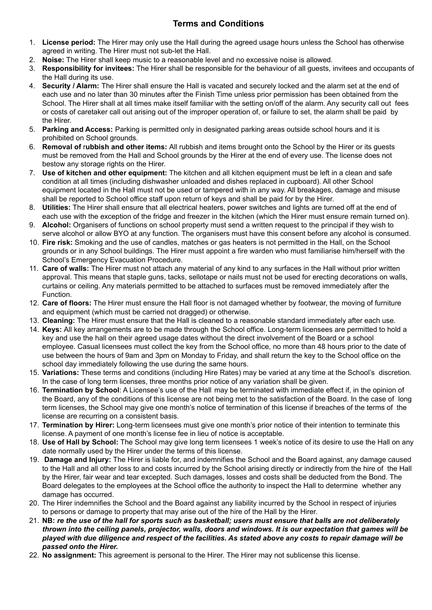## **Terms and Conditions**

- 1. **License period:** The Hirer may only use the Hall during the agreed usage hours unless the School has otherwise agreed in writing. The Hirer must not sub-let the Hall.
- 2. **Noise:** The Hirer shall keep music to a reasonable level and no excessive noise is allowed.
- 3. **Responsibility for invitees:** The Hirer shall be responsible for the behaviour of all guests, invitees and occupants of the Hall during its use.
- 4. **Security / Alarm:** The Hirer shall ensure the Hall is vacated and securely locked and the alarm set at the end of each use and no later than 30 minutes after the Finish Time unless prior permission has been obtained from the School. The Hirer shall at all times make itself familiar with the setting on/off of the alarm. Any security call out fees or costs of caretaker call out arising out of the improper operation of, or failure to set, the alarm shall be paid by the Hirer.
- 5. **Parking and Access:** Parking is permitted only in designated parking areas outside school hours and it is prohibited on School grounds.
- 6. **Removal of** r**ubbish and other items:** All rubbish and items brought onto the School by the Hirer or its guests must be removed from the Hall and School grounds by the Hirer at the end of every use. The license does not bestow any storage rights on the Hirer.
- 7. **Use of kitchen and other equipment:** The kitchen and all kitchen equipment must be left in a clean and safe condition at all times (including dishwasher unloaded and dishes replaced in cupboard). All other School equipment located in the Hall must not be used or tampered with in any way. All breakages, damage and misuse shall be reported to School office staff upon return of keys and shall be paid for by the Hirer.
- 8. **Utilities:** The Hirer shall ensure that all electrical heaters, power switches and lights are turned off at the end of each use with the exception of the fridge and freezer in the kitchen (which the Hirer must ensure remain turned on).
- 9. **Alcohol:** Organisers of functions on school property must send a written request to the principal if they wish to serve alcohol or allow BYO at any function. The organisers must have this consent before any alcohol is consumed.
- 10. **Fire risk:** Smoking and the use of candles, matches or gas heaters is not permitted in the Hall, on the School grounds or in any School buildings. The Hirer must appoint a fire warden who must familiarise him/herself with the School's Emergency Evacuation Procedure.
- 11. **Care of walls:** The Hirer must not attach any material of any kind to any surfaces in the Hall without prior written approval. This means that staple guns, tacks, sellotape or nails must not be used for erecting decorations on walls, curtains or ceiling. Any materials permitted to be attached to surfaces must be removed immediately after the Function.
- 12. **Care of floors:** The Hirer must ensure the Hall floor is not damaged whether by footwear, the moving of furniture and equipment (which must be carried not dragged) or otherwise.
- 13. **Cleaning:** The Hirer must ensure that the Hall is cleaned to a reasonable standard immediately after each use.
- 14. **Keys:** All key arrangements are to be made through the School office. Long-term licensees are permitted to hold a key and use the hall on their agreed usage dates without the direct involvement of the Board or a school employee. Casual licensees must collect the key from the School office, no more than 48 hours prior to the date of use between the hours of 9am and 3pm on Monday to Friday, and shall return the key to the School office on the school day immediately following the use during the same hours.
- 15. **Variations:** These terms and conditions (including Hire Rates) may be varied at any time at the School's discretion. In the case of long term licenses, three months prior notice of any variation shall be given.
- 16. **Termination by School**: A Licensee's use of the Hall may be terminated with immediate effect if, in the opinion of the Board, any of the conditions of this license are not being met to the satisfaction of the Board. In the case of long term licenses, the School may give one month's notice of termination of this license if breaches of the terms of the license are recurring on a consistent basis.
- 17. **Termination by Hirer:** Long-term licensees must give one month's prior notice of their intention to terminate this license. A payment of one month's license fee in lieu of notice is acceptable.
- 18. **Use of Hall by School:** The School may give long term licensees 1 week's notice of its desire to use the Hall on any date normally used by the Hirer under the terms of this license.
- 19. **Damage and Injury:** The Hirer is liable for, and indemnifies the School and the Board against, any damage caused to the Hall and all other loss to and costs incurred by the School arising directly or indirectly from the hire of the Hall by the Hirer, fair wear and tear excepted. Such damages, losses and costs shall be deducted from the Bond. The Board delegates to the employees at the School office the authority to inspect the Hall to determine whether any damage has occurred.
- 20. The Hirer indemnifies the School and the Board against any liability incurred by the School in respect of injuries to persons or damage to property that may arise out of the hire of the Hall by the Hirer.
- 21. NB: re the use of the hall for sports such as basketball; users must ensure that balls are not deliberately thrown into the ceiling panels, projector, walls, doors and windows. It is our expectation that games will be played with due diligence and respect of the facilities. As stated above any costs to repair damage will be *passed onto the Hirer.*
- 22. **No assignment:** This agreement is personal to the Hirer. The Hirer may not sublicense this license.